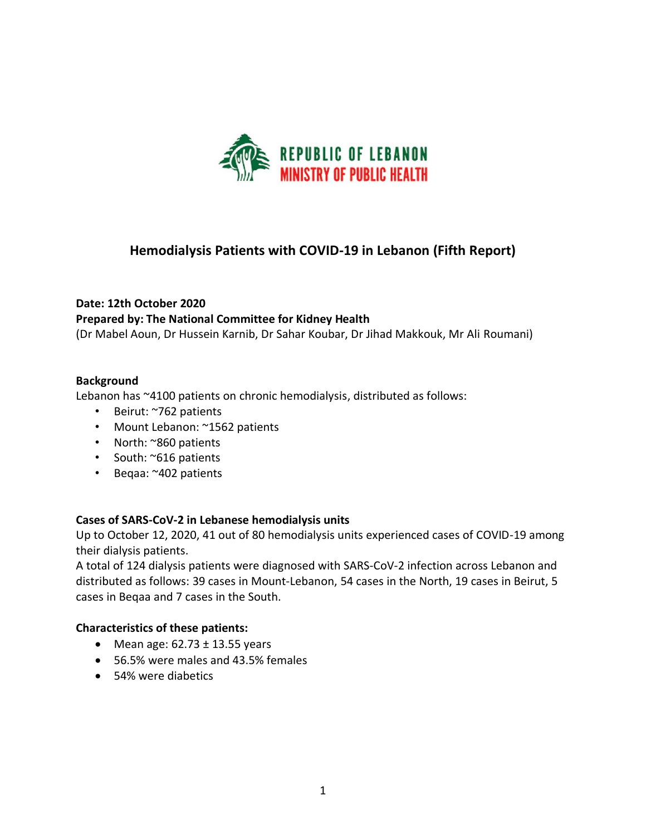

# **Hemodialysis Patients with COVID-19 in Lebanon (Fifth Report)**

# **Date: 12th October 2020 Prepared by: The National Committee for Kidney Health**

(Dr Mabel Aoun, Dr Hussein Karnib, Dr Sahar Koubar, Dr Jihad Makkouk, Mr Ali Roumani)

#### **Background**

Lebanon has ~4100 patients on chronic hemodialysis, distributed as follows:

- Beirut: ~762 patients
- Mount Lebanon: ~1562 patients
- North: ~860 patients
- South: ~616 patients
- Beqaa: ~402 patients

#### **Cases of SARS-CoV-2 in Lebanese hemodialysis units**

Up to October 12, 2020, 41 out of 80 hemodialysis units experienced cases of COVID-19 among their dialysis patients.

A total of 124 dialysis patients were diagnosed with SARS-CoV-2 infection across Lebanon and distributed as follows: 39 cases in Mount-Lebanon, 54 cases in the North, 19 cases in Beirut, 5 cases in Beqaa and 7 cases in the South.

#### **Characteristics of these patients:**

- Mean age:  $62.73 \pm 13.55$  years
- 56.5% were males and 43.5% females
- 54% were diabetics